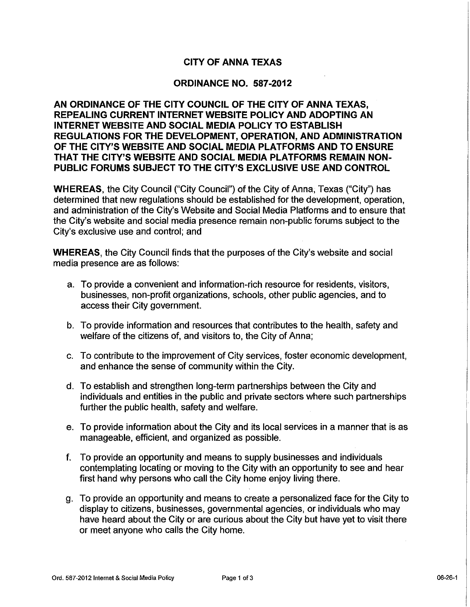#### **CITY OF ANNA TEXAS**

#### **ORDINANCE NO. 587-2012**

**AN ORDINANCE OF THE CITY COUNCIL OF THE CITY OF ANNA TEXAS, REPEALING CURRENT INTERNET WEBSITE POLICY AND ADOPTING AN INTERNET WEBSITE AND SOCIAL MEDIA POLICY TO ESTABLISH REGULATIONS FOR THE DEVELOPMENT, OPERATION, AND ADMINISTRATION OF THE CITY'S WEBSITE AND SOCIAL MEDIA PLATFORMS AND TO ENSURE THAT THE CITY'S WEBSITE AND SOCIAL MEDIA PLATFORMS REMAIN NON-PUBLIC FORUMS SUBJECT TO THE CITY'S EXCLUSIVE USE AND CONTROL** 

**WHEREAS,** the City Council ("City Council") of the City of Anna, Texas ("City") has determined that new regulations should be established for the development, operation, and administration of the City's Website and Social Media Platforms and to ensure that the City's website and social media presence remain non-public forums subject to the City's exclusive use and control; and

**WHEREAS,** the City Council finds that the purposes of the City's website and social media presence are as follows:

- a. To provide a convenient and information-rich resource for residents, visitors, businesses, non-profit organizations, schools, other public agencies, and to access their City government.
- b. To provide information and resources that contributes to the health, safety and welfare of the citizens of, and visitors to, the City of Anna;
- c. To contribute to the improvement of City services, foster economic development, and enhance the sense of community within the City.
- d. To establish and strengthen long-term partnerships between the City and individuals and entities in the public and private sectors where such partnerships further the public health, safety and welfare.
- e. To provide information about the City and its local services in a manner that is as manageable, efficient, and organized as possible.
- f. To provide an opportunity and means to supply businesses and individuals contemplating locating or moving to the City with an opportunity to see and hear first hand why persons who call the City home enjoy living there.
- g. To provide an opportunity and means to create a personalized face for the City to display to citizens, businesses, governmental agencies, or individuals who may have heard about the City or are curious about the City but have yet to visit there or meet anyone who calls the City home.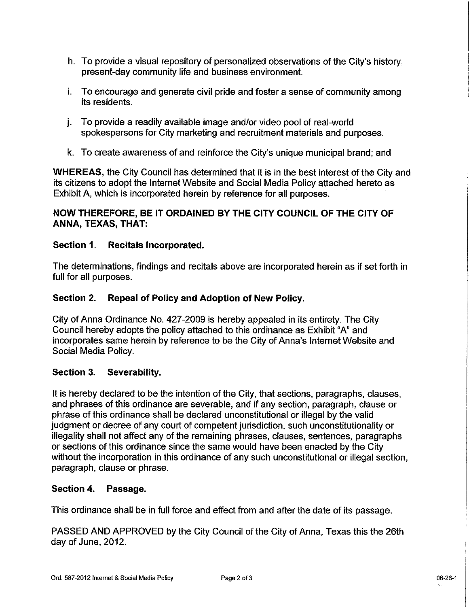- h. To provide a visual repository of personalized observations of the City's history, present-day community life and business environment.
- i. To encourage and generate civil pride and foster a sense of community among its residents.
- j. To provide a readily available image and/or video pool of real-world spokespersons for City marketing and recruitment materials and purposes.
- k. To create awareness of and reinforce the City's unique municipal brand; and

**WHEREAS,** the City Council has determined that it is in the best interest of the City and its citizens to adopt the Internet Website and Social Media Policy attached hereto as Exhibit A, which is incorporated herein by reference for all purposes.

# **NOW THEREFORE, BE IT ORDAINED BY THE CITY COUNCIL OF THE CITY OF ANNA, TEXAS, THAT:**

## **Section 1. Recitals Incorporated.**

The determinations, findings and recitals above are incorporated herein as if set forth in full for all purposes.

## **Section 2. Repeal of Policy and Adoption of New Policy.**

City of Anna Ordinance No. 427-2009 is hereby appealed in its entirety. The City Council hereby adopts the policy attached to this ordinance as Exhibit "A" and incorporates same herein by reference to be the City of Anna's Internet Website and Social Media Policy.

#### **Section 3. Severability.**

It is hereby declared to be the intention of the City, that sections, paragraphs, clauses, and phrases of this ordinance are severable, and if any section, paragraph, clause or phrase of this ordinance shall be declared unconstitutional or illegal by the valid judgment or decree of any court of competent jurisdiction, such unconstitutionality or illegality shall not affect any of the remaining phrases, clauses, sentences, paragraphs or sections of this ordinance since the same would have been enacted by the City without the incorporation in this ordinance of any such unconstitutional or illegal section, paragraph, clause or phrase.

#### **Section 4. Passage.**

This ordinance shall be in full force and effect from and after the date of its passage.

PASSED AND APPROVED by the City Council of the City of Anna, Texas this the 26th day of June, 2012.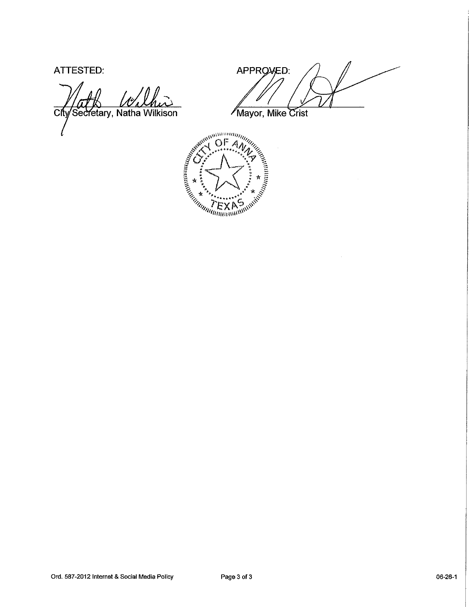**ATTESTED:** 

APPROVED:

Secretary, Natha Wilkison City

Mayor, Mike Crist

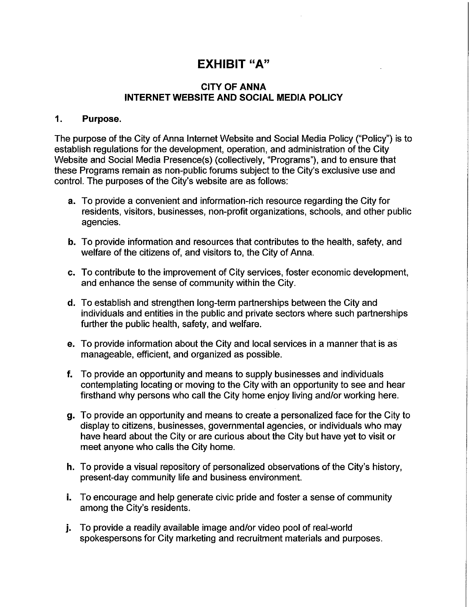# **EXHIBIT "A"**

#### **CITY OF ANNA INTERNET WEBSITE AND SOCIAL MEDIA POLICY**

#### **1. Purpose.**

The purpose of the City of Anna Internet Website and Social Media Policy ("Policy") is to establish regulations for the development, operation, and administration of the City Website and Social Media Presence(s) (collectively, "Programs"), and to ensure that these Programs remain as non-public forums subject to the City's exclusive use and control. The purposes of the City's website are as follows:

- **a.** To provide a convenient and information-rich resource regarding the City for residents, visitors, businesses, non-profit organizations, schools, and other public agencies.
- **b.** To provide information and resources that contributes to the health, safety, and welfare of the citizens of, and visitors to, the City of Anna.
- c. To contribute to the improvement of City services, foster economic development, and enhance the sense of community within the City.
- **d.** To establish and strengthen long-term partnerships between the City and individuals and entities in the public and private sectors where such partnerships further the public health, safety, and welfare.
- e. To provide information about the City and local services in a manner that is as manageable, efficient, and organized as possible.
- **f.** To provide an opportunity and means to supply businesses and individuals contemplating locating or moving to the City with an opportunity to see and hear firsthand why persons who call the City home enjoy living and/or working here.
- **g.** To provide an opportunity and means to create a personalized face for the City to display to citizens, businesses, governmental agencies, or individuals who may have heard about the City or are curious about the City but have yet to visit or meet anyone who calls the City home.
- **h.** To provide a visual repository of personalized observations of the City's history, present-day community life and business environment.
- i. To encourage and help generate civic pride and foster a sense of community among the City's residents.
- **j.** To provide a readily available image and/or video pool of real-world spokespersons for City marketing and recruitment materials and purposes.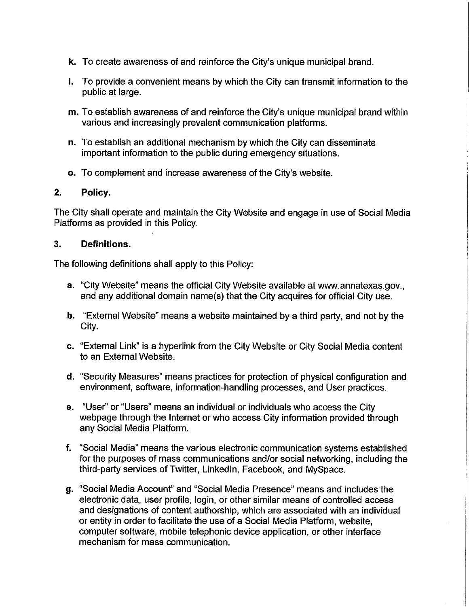- **k.** To create awareness of and reinforce the City's unique municipal brand.
- I. To provide a convenient means by which the City can transmit information to the public at large.
- **m.** To establish awareness of and reinforce the City's unique municipal brand within various and increasingly prevalent communication platforms.
- **n.** To establish an additional mechanism by which the City can disseminate important information to the public during emergency situations.
- o. To complement and increase awareness of the City's website.

## **2. Policy.**

The City shall operate and maintain the City Website and engage in use of Social Media Platforms as provided in this Policy.

## **3. Definitions.**

The following definitions shall apply to this Policy:

- a. "City Website" means the official City Website available at www.annatexas.gov., and any additional domain name(s) that the City acquires for official City use.
- **b.** "External Website" means a website maintained by a third party, and not by the City.
- c. "External Link" is a hyperlink from the City Website or City Social Media content to an External Website.
- **d.** "Security Measures" means practices for protection of physical configuration and environment, software, information-handling processes, and User practices.
- e. "User" or "Users" means an individual or individuals who access the City webpage through the Internet or who access City information provided through any Social Media Platform.
- **f.** "Social Media" means the various electronic communication systems established for the purposes of mass communications and/or social networking, including the third-party services of Twitter, Linkedln, Facebook, and MySpace.
- g. "Social Media Account" and "Social Media Presence" means and includes the electronic data, user profile, login, or other similar means of controlled access and designations of content authorship, which are associated with an individual or entity in order to facilitate the use of a Social Media Platform, website, computer software, mobile telephonic device application, or other interface mechanism for mass communication.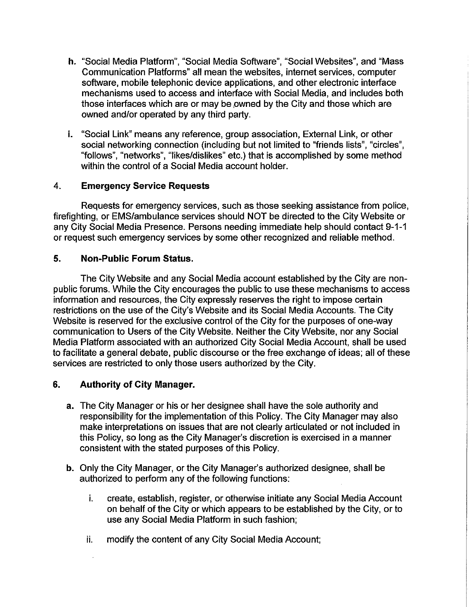- **h.** "Social Media Platform", "Social Media Software", "Social Websites", and "Mass Communication Platforms" all mean the websites, internet services, computer software, mobile telephonic device applications, and other electronic interface mechanisms used to access and interface with Social Media, and includes both those interfaces which are or may be owned by the City and those which are owned and/or operated by any third party.
- **i.** "Social Link" means any reference, group association, External Link, or other social networking connection (including but not limited to "friends lists", "circles", "follows", "networks", "likes/dislikes" etc.) that is accomplished by some method within the control of a Social Media account holder.

#### 4. **Emergency Service Requests**

Requests for emergency services, such as those seeking assistance from police, firefighting, or EMS/ambulance services should NOT be directed to the City Website or any City Social Media Presence. Persons needing immediate help should contact 9-1-1 or request such emergency services by some other recognized and reliable method.

#### **5. Non-Public Forum Status.**

The City Website and any Social Media account established by the City are nonpublic forums. While the City encourages the public to use these mechanisms to access information and resources, the City expressly reserves the right to impose certain restrictions on the use of the City's Website and its Social Media Accounts. The City Website is reserved for the exclusive control of the City for the purposes of one-way communication to Users of the City Website. Neither the City Website, nor any Social Media Platform associated with an authorized City Social Media Account, shall be used to facilitate a general debate, public discourse or the free exchange of ideas; all of these services are restricted to only those users authorized by the City.

# **6. Authority of City Manager.**

- a. The City Manager or his or her designee shall have the sole authority and responsibility for the implementation of this Policy. The City Manager may also make interpretations on issues that are not clearly articulated or not included in this Policy, so long as the City Manager's discretion is exercised in a manner consistent with the stated purposes of this Policy.
- **b.** Only the City Manager, or the City Manager's authorized designee, shall be authorized to perform any of the following functions:
	- i. create, establish, register, or otherwise initiate any Social Media Account on behalf of the City or which appears to be established by the City, or to use any Social Media Platform in such fashion;
	- ii. modify the content of any City Social Media Account;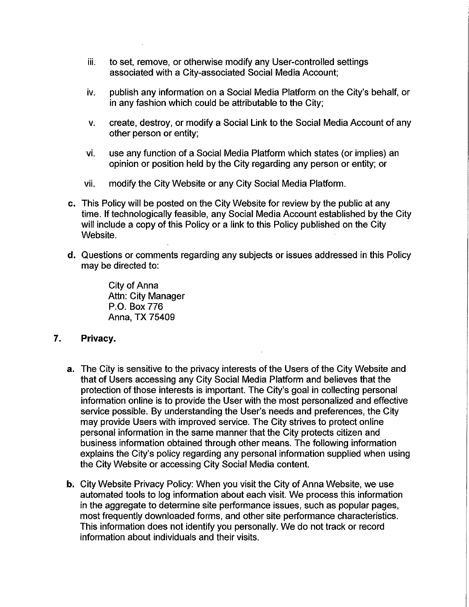- iii. to set, remove, or otherwise modify any User-controlled settings associated with a City-associated Social Media Account;
- iv. publish any information on a Social Media Platform on the City's behalf, or in any fashion which could be attributable to the City;
- v. create, destroy, or modify a Social Link to the Social Media Account of any other person or entity;
- vi. use any function of a Social Media Platform which states (or implies) an opinion or position held by the City regarding any person or entity; or
- vii. modify the City Website or any City Social Media Platform.
- c. This Policy will be posted on the City Website for review by the public at any time. If technologically feasible, any Social Media Account established by the City will include a copy of this Policy or a link to this Policy published on the City Website.
- d. Questions or comments regarding any subjects or issues addressed in this Policy may be directed to:

City of Anna Attn: City Manager P.O. Box776 Anna, TX 75409

- **7. Privacy.** 
	- a. The City is sensitive to the privacy interests of the Users of the City Website and that of Users accessing any City Social Media Platform and believes that the protection of those interests is important. The City's goal in collecting personal information online is to provide the User with the most personalized and effective service possible. By understanding the User's needs and preferences, the City may provide Users with improved service. The City strives to protect online personal information in the same manner that the City protects citizen and business information obtained through other means. The following information explains the City's policy regarding any personal information supplied when using the City Website or accessing City Social Media content.
	- **b.** City Website Privacy Policy: When you visit the City of Anna Website, we use automated tools to log information about each visit. We process this information in the aggregate to determine site performance issues, such as popular pages, most frequently downloaded forms, and other site performance characteristics. This information does not identify you personally. We do not track or record information about individuals and their visits.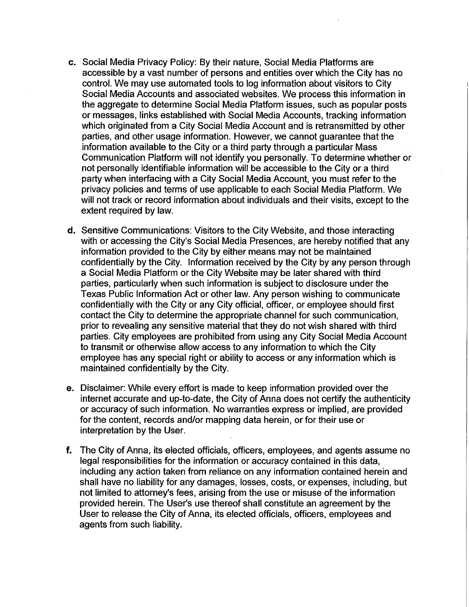- c. Social Media Privacy Policy: By their nature, Social Media Platforms are accessible by a vast number of persons and entities over which the City has no control. We may use automated tools to log information about visitors to City Social Media Accounts and associated websites. We process this information in the aggregate to determine Social Media Platform issues, such as popular posts or messages, links established with Social Media Accounts, tracking information which originated from a City Social Media Account and is retransmitted by other parties, and other usage information. However, we cannot guarantee that the information available to the City or a third party through a particular Mass Communication Platform will not identify you personally. To determine whether or not personally identifiable information will be accessible to the City or a third party when interfacing with a City Social Media Account, you must refer to the privacy policies and terms of use applicable to each Social Media Platform. We will not track or record information about individuals and their visits, except to the extent required by law.
- d. Sensitive Communications: Visitors to the City Website, and those interacting with or accessing the City's Social Media Presences, are hereby notified that any information provided to the City by either means may not be maintained confidentially by the City. Information received by the City by any person through a Social Media Platform or the City Website may be later shared with third parties, particularly when such information is subject to disclosure under the Texas Public Information Act or other law. Any person wishing to communicate confidentially with the City or any City official, officer, or employee should first contact the City to determine the appropriate channel for such communication, prior to revealing any sensitive material that they do not wish shared with third parties. City employees are prohibited from using any City Social Media Account to transmit or otherwise allow access to any information to which the City employee has any special right or ability to access or any information which is maintained confidentially by the City.
- e. Disclaimer: While every effort is made to keep information provided over the internet accurate and up-to-date, the City of Anna does not certify the authenticity or accuracy of such information. No warranties express or implied, are provided for the content, records and/or mapping data herein, or for their use or interpretation by the User.
- f. The City of Anna, its elected officials, officers, employees, and agents assume no legal responsibilities for the information or accuracy contained in this data, including any action taken from reliance on any information contained herein and shall have no liability for any damages, losses, costs, or expenses, including, but not limited to attorney's fees, arising from the use or misuse of the information provided herein. The User's use thereof shall constitute an agreement by the User to release the City of Anna, its elected officials, officers, employees and agents from such liability.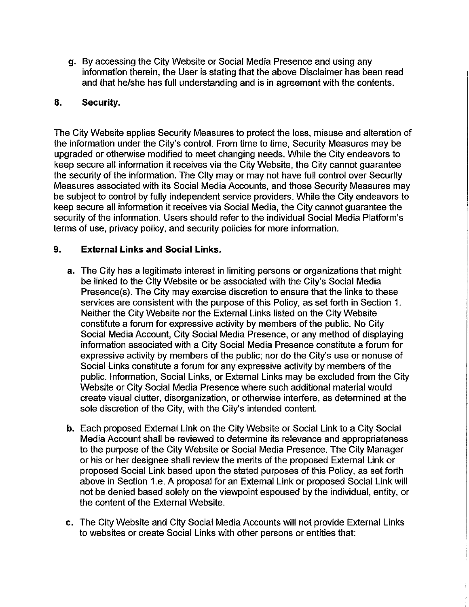**g.** By accessing the City Website or Social Media Presence and using any information therein, the User is stating that the above Disclaimer has been read and that he/she has full understanding and is in agreement with the contents.

## **8. Security.**

The City Website applies Security Measures to protect the loss, misuse and alteration of the information under the City's control. From time to time, Security Measures may be upgraded or otherwise modified to meet changing needs. While the City endeavors to keep secure all information it receives via the City Website, the City cannot guarantee the security of the information. The City may or may not have full control over Security Measures associated with its Social Media Accounts, and those Security Measures may be subject to control by fully independent service providers. While the City endeavors to keep secure all information it receives via Social Media, the City cannot guarantee the security of the information. Users should refer to the individual Social Media Platform's terms of use, privacy policy, and security policies for more information.

## **9. External Links and Social Links.**

- **a.** The City has a legitimate interest in limiting persons or organizations that might be linked to the City Website or be associated with the City's Social Media Presence(s). The City may exercise discretion to ensure that the links to these services are consistent with the purpose of this Policy, as set forth in Section 1. Neither the City Website nor the External Links listed on the City Website constitute a forum for expressive activity by members of the public. No City Social Media Account, City Social Media Presence, or any method of displaying information associated with a City Social Media Presence constitute a forum for expressive activity by members of the public; nor do the City's use or nonuse of Social Links constitute a forum for any expressive activity by members of the public. Information, Social Links, or External Links may be excluded from the City Website or City Social Media Presence where such additional material would create visual clutter, disorganization, or otherwise interfere, as determined at the sole discretion of the City, with the City's intended content.
- **b.** Each proposed External Link on the City Website or Social Link to a City Social Media Account shall be reviewed to determine its relevance and appropriateness to the purpose of the City Website or Social Media Presence. The City Manager or his or her designee shall review the merits of the proposed External Link or proposed Social Link based upon the stated purposes of this Policy, as set forth above in Section 1.e. A proposal for an External Link or proposed Social Link will not be denied based solely on the viewpoint espoused by the individual, entity, or the content of the External Website.
- c. The City Website and City Social Media Accounts will not provide External Links to websites or create Social Links with other persons or entities that: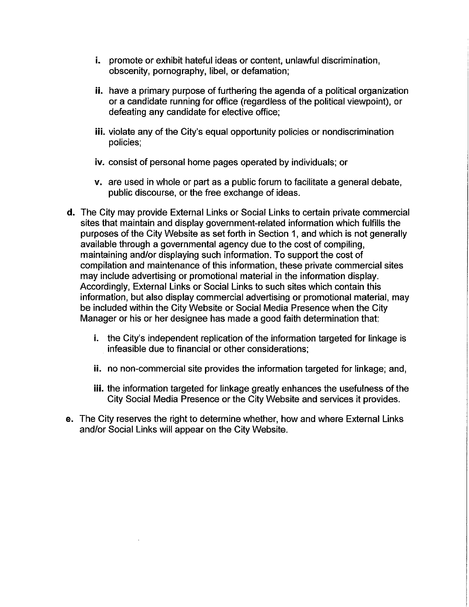- **i.** promote or exhibit hateful ideas or content, unlawful discrimination, obscenity, pornography, libel, or defamation;
- ii. have a primary purpose of furthering the agenda of a political organization or a candidate running for office (regardless of the political viewpoint), or defeating any candidate for elective office;
- **iii.** violate any of the City's equal opportunity policies or nondiscrimination policies;
- **iv.** consist of personal home pages operated by individuals; or
- v. are used in whole or part as a public forum to facilitate a general debate, public discourse, or the free exchange of ideas.
- **d.** The City may provide External Links or Social Links to certain private commercial sites that maintain and display government-related information which fulfills the purposes of the City Website as set forth in Section 1, and which is not generally available through a governmental agency due to the cost of compiling, maintaining and/or displaying such information. To support the cost of compilation and maintenance of this information, these private commercial sites may include advertising or promotional material in the information display. Accordingly, External Links or Social Links to such sites which contain this information, but also display commercial advertising or promotional material, may be included within the City Website or Social Media Presence when the City Manager or his or her designee has made a good faith determination that:
	- i. the City's independent replication of the information targeted for linkage is infeasible due to financial or other considerations;
	- **ii.** no non-commercial site provides the information targeted for linkage; and,
	- **iii.** the information targeted for linkage greatly enhances the usefulness of the City Social Media Presence or the City Website and services it provides.
- e. The City reserves the right to determine whether, how and where External Links and/or Social Links will appear on the City Website.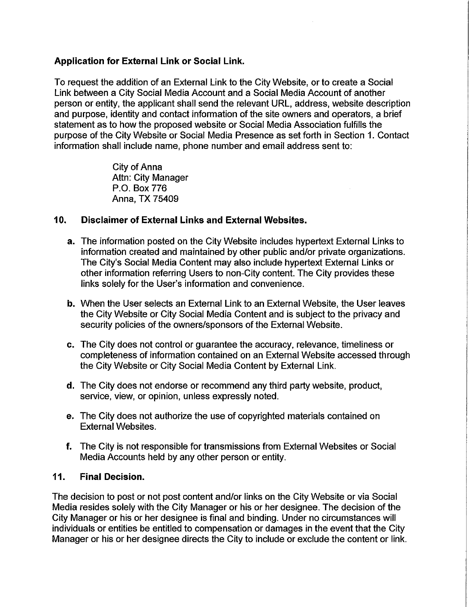# **Application for External Link or Social Link.**

To request the addition of an External Link to the City Website, or to create a Social Link between a City Social Media Account and a Social Media Account of another person or entity, the applicant shall send the relevant URL, address, website description and purpose, identity and contact information of the site owners and operators, a brief statement as to how the proposed website or Social Media Association fulfills the purpose of the City Website or Social Media Presence as set forth in Section 1. Contact information shall include name, phone number and email address sent to:

> City of Anna Attn: City Manager P.O. Box 776 Anna, TX 75409

## **10. Disclaimer of External Links and External Websites.**

- a. The information posted on the City Website includes hypertext External Links to information created and maintained by other public and/or private organizations. The City's Social Media Content may also include hypertext External Links or other information referring Users to non-City content. The City provides these links solely for the User's information and convenience.
- **b.** When the User selects an External Link to an External Website, the User leaves the City Website or City Social Media Content and is subject to the privacy and security policies of the owners/sponsors of the External Website.
- c. The City does not control or guarantee the accuracy, relevance, timeliness or completeness of information contained on an External Website accessed through the City Website or City Social Media Content by External Link.
- **d.** The City does not endorse or recommend any third party website, product, service, view, or opinion, unless expressly noted.
- e. The City does not authorize the use of copyrighted materials contained on External Websites.
- **f.** The City is not responsible for transmissions from External Websites or Social Media Accounts held by any other person or entity.

#### **11. Final Decision.**

The decision to post or not post content and/or links on the City Website or via Social Media resides solely with the City Manager or his or her designee. The decision of the City Manager or his or her designee is final and binding. Under no circumstances will individuals or entities be entitled to compensation or damages in the event that the City Manager or his or her designee directs the City to include or exclude the content or link.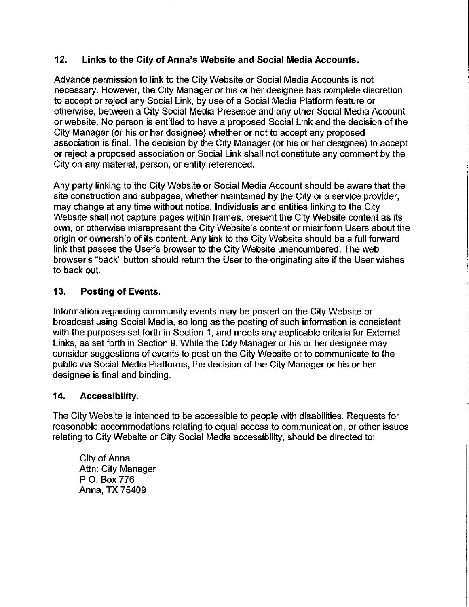# **12. Links to the City of Anna's Website and Social Media Accounts.**

Advance permission to link to the City Website or Social Media Accounts is not necessary. However, the City Manager or his or her designee has complete discretion to accept or reject any Social Link, by use of a Social Media Platform feature or otherwise, between a City Social Media Presence and any other Social Media Account or website. No person is entitled to have a proposed Social Link and the decision of the City Manager (or his or her designee) whether or not to accept any proposed association is final. The decision by the City Manager (or his or her designee) to accept or reject a proposed association or Social Link shall not constitute any comment by the City on any material, person, or entity referenced.

Any party linking to the City Website or Social Media Account should be aware that the site construction and subpages, whether maintained by the City or a service provider, may change at any time without notice. Individuals and entities linking to the City Website shall not capture pages within frames, present the City Website content as its own, or otherwise misrepresent the City Website's content or misinform Users about the origin or ownership of its content. Any link to the City Website should be a full forward link that passes the User's browser to the City Website unencumbered. The web browser's "back" button should return the User to the originating site if the User wishes to back out.

# 13. **Posting of Events.**

Information regarding community events may be posted on the City Website or broadcast using Social Media, so long as the posting of such information is consistent with the purposes set forth in Section 1, and meets any applicable criteria for External Links, as set forth in Section 9. While the City Manager or his or her designee may consider suggestions of events to post on the City Website or to communicate to the public via Social Media Platforms, the decision of the City Manager or his or her designee is final and binding.

# **14. Accessibility.**

The City Website is intended to be accessible to people with disabilities. Requests for reasonable accommodations relating to equal access to communication, or other issues relating to City Website or City Social Media accessibility, should be directed to:

City of Anna Attn: City Manager P.O. Box 776 Anna, TX 75409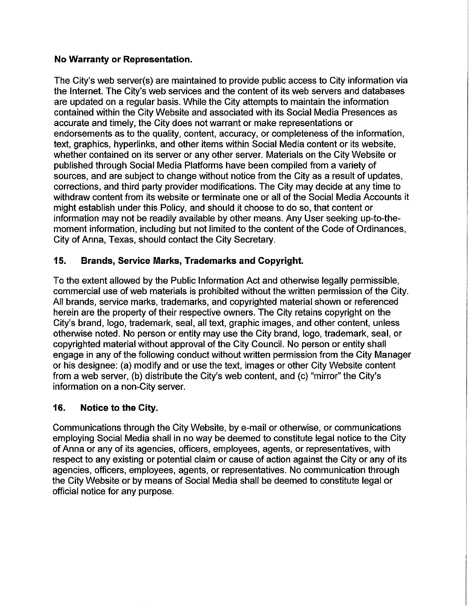## **No Warranty or Representation.**

The City's web server(s) are maintained to provide public access to City information via the Internet. The City's web services and the content of its web servers and databases are updated on a regular basis. While the City attempts to maintain the information contained within the City Website and associated with its Social Media Presences as accurate and timely, the City does not warrant or make representations or endorsements as to the quality, content, accuracy, or completeness of the information, text, graphics, hyperlinks, and other items within Social Media content or its website, whether contained on its server or any other server. Materials on the City Website or published through Social Media Platforms have been compiled from a variety of sources, and are subject to change without notice from the City as a result of updates, corrections, and third party provider modifications. The City may decide at any time to withdraw content from its website or terminate one or all of the Social Media Accounts it might establish under this Policy, and should it choose to do so, that content or information may not be readily available by other means. Any User seeking up-to-themoment information, including but not limited to the content of the Code of Ordinances, City of Anna, Texas, should contact the City Secretary.

# **15. Brands, Service Marks, Trademarks and Copyright.**

To the extent allowed by the Public Information Act and otherwise legally permissible, commercial use of web materials is prohibited without the written permission of the City. All brands, service marks, trademarks, and copyrighted material shown or referenced herein are the property of their respective owners. The City retains copyright on the City's brand, logo, trademark, seal, all text, graphic images, and other content, unless otherwise noted. No person or entity may use the City brand, logo, trademark, seal, or copyrighted material without approval of the City Council. No person or entity shall engage in any of the following conduct without written permission from the City Manager or his designee: (a) modify and or use the text, images or other City Website content from a web server, (b) distribute the City's web content, and (c) "mirror" the City's information on a non-City server.

# **16. Notice to the City.**

Communications through the City Website, by e-mail or otherwise, or communications employing Social Media shall in no way be deemed to constitute legal notice to the City of Anna or any of its agencies, officers, employees, agents, or representatives, with respect to any existing or potential claim or cause of action against the City or any of its agencies, officers, employees, agents, or representatives. No communication through the City Website or by means of Social Media shall be deemed to constitute legal or official notice for any purpose.